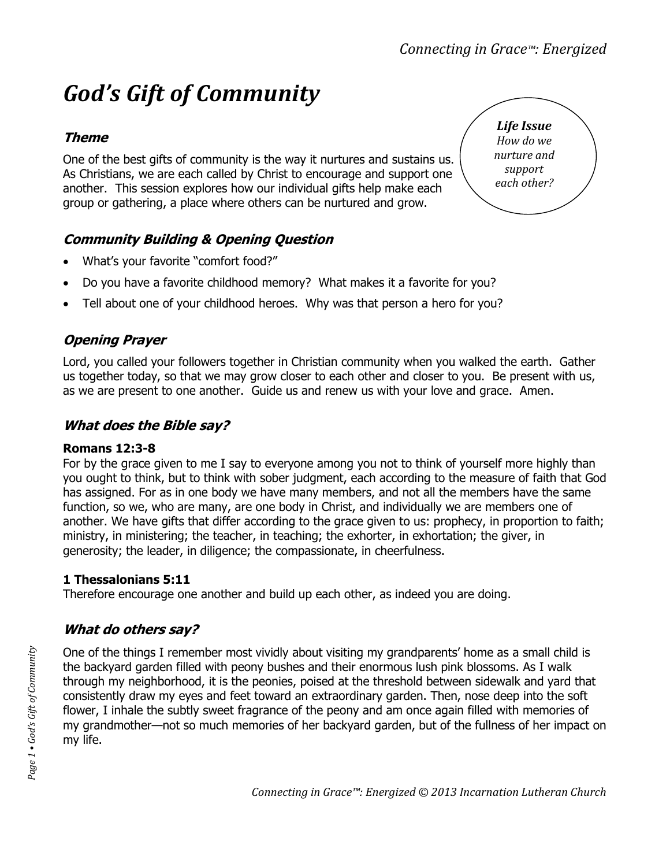# *God's Gift of Community*

# **Theme**

One of the best gifts of community is the way it nurtures and sustains us. As Christians, we are each called by Christ to encourage and support one another. This session explores how our individual gifts help make each group or gathering, a place where others can be nurtured and grow.

# **Community Building & Opening Question**

- What's your favorite "comfort food?"
- Do you have a favorite childhood memory? What makes it a favorite for you?
- Tell about one of your childhood heroes. Why was that person a hero for you?

## **Opening Prayer**

Lord, you called your followers together in Christian community when you walked the earth. Gather us together today, so that we may grow closer to each other and closer to you. Be present with us, as we are present to one another. Guide us and renew us with your love and grace. Amen.

## **What does the Bible say?**

#### **Romans 12:3-8**

For by the grace given to me I say to everyone among you not to think of yourself more highly than you ought to think, but to think with sober judgment, each according to the measure of faith that God has assigned. For as in one body we have many members, and not all the members have the same function, so we, who are many, are one body in Christ, and individually we are members one of another. We have gifts that differ according to the grace given to us: prophecy, in proportion to faith; ministry, in ministering; the teacher, in teaching; the exhorter, in exhortation; the giver, in generosity; the leader, in diligence; the compassionate, in cheerfulness.

#### **1 Thessalonians 5:11**

Therefore encourage one another and build up each other, as indeed you are doing.

# **What do others say?**

One of the things I remember most vividly about visiting my grandparents' home as a small child is the backyard garden filled with peony bushes and their enormous lush pink blossoms. As I walk through my neighborhood, it is the peonies, poised at the threshold between sidewalk and yard that consistently draw my eyes and feet toward an extraordinary garden. Then, nose deep into the soft flower, I inhale the subtly sweet fragrance of the peony and am once again filled with memories of my grandmother—not so much memories of her backyard garden, but of the fullness of her impact on my life.

*Life Issue How do we nurture and support each other?*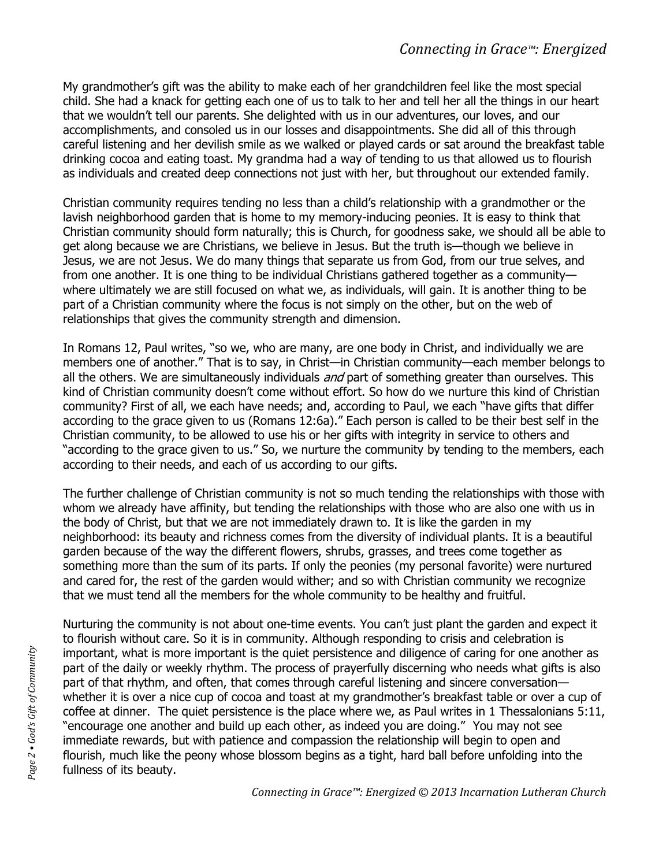My grandmother's gift was the ability to make each of her grandchildren feel like the most special child. She had a knack for getting each one of us to talk to her and tell her all the things in our heart that we wouldn't tell our parents. She delighted with us in our adventures, our loves, and our accomplishments, and consoled us in our losses and disappointments. She did all of this through careful listening and her devilish smile as we walked or played cards or sat around the breakfast table drinking cocoa and eating toast. My grandma had a way of tending to us that allowed us to flourish as individuals and created deep connections not just with her, but throughout our extended family.

Christian community requires tending no less than a child's relationship with a grandmother or the lavish neighborhood garden that is home to my memory-inducing peonies. It is easy to think that Christian community should form naturally; this is Church, for goodness sake, we should all be able to get along because we are Christians, we believe in Jesus. But the truth is—though we believe in Jesus, we are not Jesus. We do many things that separate us from God, from our true selves, and from one another. It is one thing to be individual Christians gathered together as a community where ultimately we are still focused on what we, as individuals, will gain. It is another thing to be part of a Christian community where the focus is not simply on the other, but on the web of relationships that gives the community strength and dimension.

In Romans 12, Paul writes, "so we, who are many, are one body in Christ, and individually we are members one of another." That is to say, in Christ—in Christian community—each member belongs to all the others. We are simultaneously individuals and part of something greater than ourselves. This kind of Christian community doesn't come without effort. So how do we nurture this kind of Christian community? First of all, we each have needs; and, according to Paul, we each "have gifts that differ according to the grace given to us (Romans 12:6a)." Each person is called to be their best self in the Christian community, to be allowed to use his or her gifts with integrity in service to others and "according to the grace given to us." So, we nurture the community by tending to the members, each according to their needs, and each of us according to our gifts.

The further challenge of Christian community is not so much tending the relationships with those with whom we already have affinity, but tending the relationships with those who are also one with us in the body of Christ, but that we are not immediately drawn to. It is like the garden in my neighborhood: its beauty and richness comes from the diversity of individual plants. It is a beautiful garden because of the way the different flowers, shrubs, grasses, and trees come together as something more than the sum of its parts. If only the peonies (my personal favorite) were nurtured and cared for, the rest of the garden would wither; and so with Christian community we recognize that we must tend all the members for the whole community to be healthy and fruitful.

Nurturing the community is not about one-time events. You can't just plant the garden and expect it to flourish without care. So it is in community. Although responding to crisis and celebration is important, what is more important is the quiet persistence and diligence of caring for one another as part of the daily or weekly rhythm. The process of prayerfully discerning who needs what gifts is also part of that rhythm, and often, that comes through careful listening and sincere conversation whether it is over a nice cup of cocoa and toast at my grandmother's breakfast table or over a cup of coffee at dinner. The quiet persistence is the place where we, as Paul writes in 1 Thessalonians 5:11, "encourage one another and build up each other, as indeed you are doing." You may not see immediate rewards, but with patience and compassion the relationship will begin to open and flourish, much like the peony whose blossom begins as a tight, hard ball before unfolding into the fullness of its beauty.